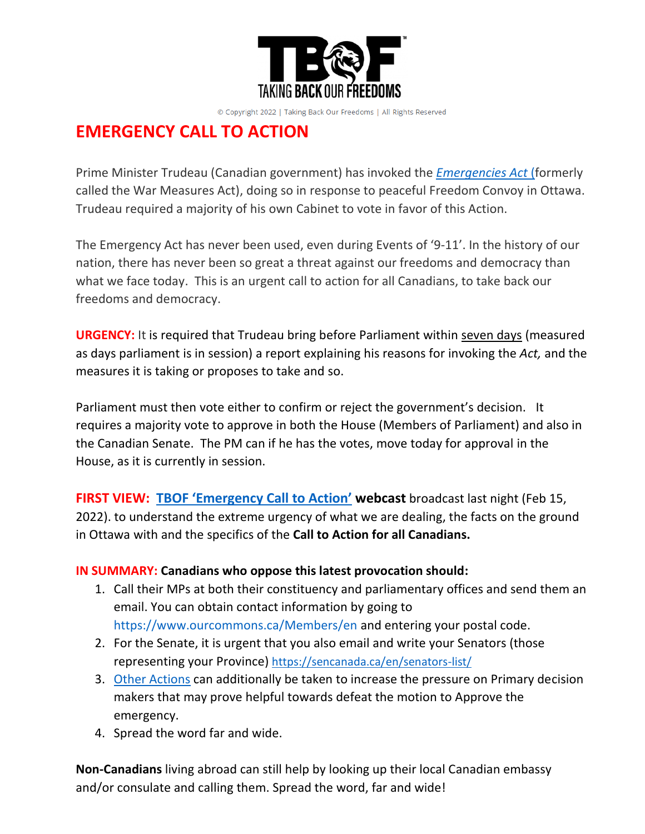

© Copyright 2022 | Taking Back Our Freedoms | All Rights Reserved

## **EMERGENCY CALL TO ACTION**

Prime Minister Trudeau (Canadian government) has invoked the *[Emergencies Act](https://www.lawnow.org/the-emergencies-act/)* (formerly called the War Measures Act), doing so in response to peaceful Freedom Convoy in Ottawa. Trudeau required a majority of his own Cabinet to vote in favor of this Action.

The Emergency Act has never been used, even during Events of '9-11'. In the history of our nation, there has never been so great a threat against our freedoms and democracy than what we face today. This is an urgent call to action for all Canadians, to take back our freedoms and democracy.

**URGENCY:** It is required that Trudeau bring before Parliament within seven days (measured as days parliament is in session) a report explaining his reasons for invoking the *Act,* and the measures it is taking or proposes to take and so.

Parliament must then vote either to confirm or reject the government's decision. It requires a majority vote to approve in both the House (Members of Parliament) and also in the Canadian Senate. The PM can if he has the votes, move today for approval in the House, as it is currently in session.

**FIRST VIEW: TBOF '[Emergency Call to Action](https://tbof.ca/call-to-action-stop-the-emergency/)' webcast** broadcast last night (Feb 15, 2022). to understand the extreme urgency of what we are dealing, the facts on the ground in Ottawa with and the specifics of the **Call to Action for all Canadians.** 

## **IN SUMMARY: Canadians who oppose this latest provocation should:**

- 1. Call their MPs at both their constituency and parliamentary offices and send them an email. You can obtain contact information by going to <https://www.ourcommons.ca/Members/en> and entering your postal code.
- 2. For the Senate, it is urgent that you also email and write your Senators (those representing your Province) <https://sencanada.ca/en/senators-list/>
- 3. [Other Actions](https://www.dropbox.com/s/o9l1x2cv8nbg0um/LongListofWhotoCall.pdf?dl=0) can additionally be taken to increase the pressure on Primary decision makers that may prove helpful towards defeat the motion to Approve the emergency.
- 4. Spread the word far and wide.

**Non-Canadians** living abroad can still help by looking up their local Canadian embassy and/or consulate and calling them. Spread the word, far and wide!